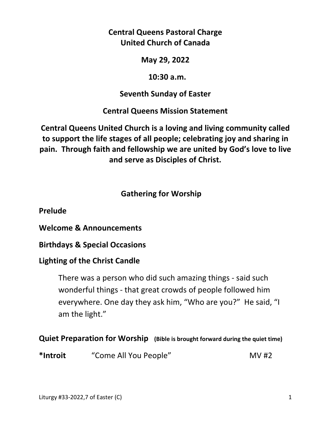**Central Queens Pastoral Charge United Church of Canada** 

**May 29, 2022** 

 **10:30 a.m.** 

**Seventh Sunday of Easter** 

**Central Queens Mission Statement** 

**Central Queens United Church is a loving and living community called to support the life stages of all people; celebrating joy and sharing in pain. Through faith and fellowship we are united by God's love to live and serve as Disciples of Christ.**

 **Gathering for Worship** 

**Prelude** 

**Welcome & Announcements** 

**Birthdays & Special Occasions** 

# **Lighting of the Christ Candle**

There was a person who did such amazing things - said such wonderful things - that great crowds of people followed him everywhere. One day they ask him, "Who are you?" He said, "I am the light."

**Quiet Preparation for Worship (Bible is brought forward during the quiet time)** 

\*Introit "Come All You People" MV #2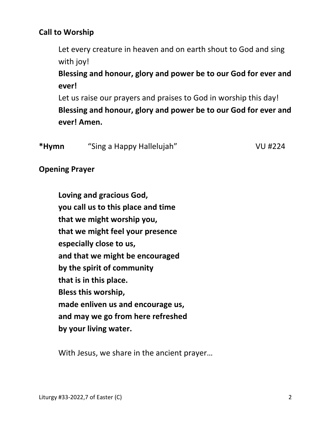## **Call to Worship**

Let every creature in heaven and on earth shout to God and sing with joy!

 **Blessing and honour, glory and power be to our God for ever and ever!** 

 Let us raise our prayers and praises to God in worship this day!  **Blessing and honour, glory and power be to our God for ever and ever! Amen.** 

| *Hymn | "Sing a Happy Hallelujah" | <b>VU #224</b> |
|-------|---------------------------|----------------|
|       |                           |                |

**Opening Prayer** 

 **Loving and gracious God, you call us to this place and time that we might worship you, that we might feel your presence especially close to us, and that we might be encouraged by the spirit of community that is in this place. Bless this worship, made enliven us and encourage us, and may we go from here refreshed by your living water.** 

With Jesus, we share in the ancient prayer…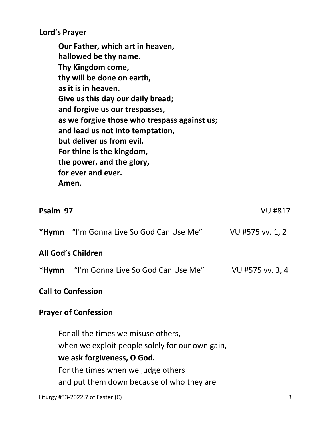**Lord's Prayer** 

**Our Father, which art in heaven, hallowed be thy name. Thy Kingdom come, thy will be done on earth, as it is in heaven. Give us this day our daily bread; and forgive us our trespasses, as we forgive those who trespass against us; and lead us not into temptation, but deliver us from evil. For thine is the kingdom, the power, and the glory, for ever and ever. Amen.** 

| Psalm 97                  |                                                 | <b>VU #817</b>   |
|---------------------------|-------------------------------------------------|------------------|
|                           | <b>*Hymn</b> "I'm Gonna Live So God Can Use Me" | VU #575 vv. 1, 2 |
|                           | <b>All God's Children</b>                       |                  |
|                           | <b>*Hymn</b> "I'm Gonna Live So God Can Use Me" | VU #575 vv. 3, 4 |
| <b>Call to Confession</b> |                                                 |                  |

## **Prayer of Confession**

For all the times we misuse others, when we exploit people solely for our own gain,  **we ask forgiveness, O God.**  For the times when we judge others and put them down because of who they are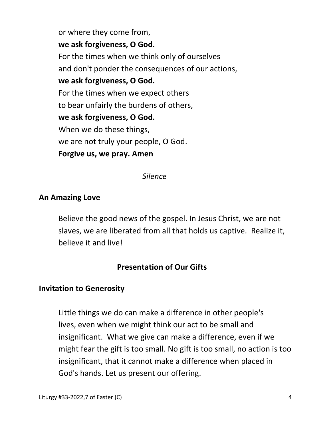or where they come from,  **we ask forgiveness, O God.**  For the times when we think only of ourselves and don't ponder the consequences of our actions,  **we ask forgiveness, O God.**  For the times when we expect others to bear unfairly the burdens of others,  **we ask forgiveness, O God.**  When we do these things, we are not truly your people, O God.  **Forgive us, we pray. Amen** 

 *Silence* 

## **An Amazing Love**

 Believe the good news of the gospel. In Jesus Christ, we are not slaves, we are liberated from all that holds us captive. Realize it, believe it and live!

# **Presentation of Our Gifts**

#### **Invitation to Generosity**

Little things we do can make a difference in other people's lives, even when we might think our act to be small and insignificant. What we give can make a difference, even if we might fear the gift is too small. No gift is too small, no action is too insignificant, that it cannot make a difference when placed in God's hands. Let us present our offering.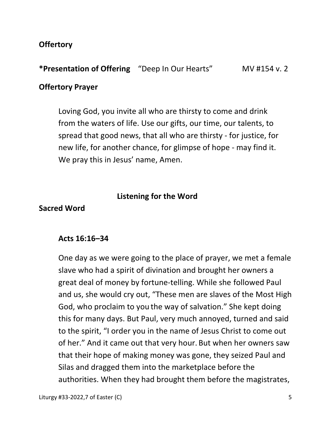## **Offertory**

**\*Presentation of Offering** "Deep In Our Hearts" MV #154 v. 2

#### **Offertory Prayer**

 Loving God, you invite all who are thirsty to come and drink from the waters of life. Use our gifts, our time, our talents, to spread that good news, that all who are thirsty - for justice, for new life, for another chance, for glimpse of hope - may find it. We pray this in Jesus' name, Amen.

#### **Listening for the Word**

#### **Sacred Word**

#### **Acts 16:16–34**

One day as we were going to the place of prayer, we met a female slave who had a spirit of divination and brought her owners a great deal of money by fortune-telling. While she followed Paul and us, she would cry out, "These men are slaves of the Most High God, who proclaim to you the way of salvation." She kept doing this for many days. But Paul, very much annoyed, turned and said to the spirit, "I order you in the name of Jesus Christ to come out of her." And it came out that very hour. But when her owners saw that their hope of making money was gone, they seized Paul and Silas and dragged them into the marketplace before the authorities. When they had brought them before the magistrates,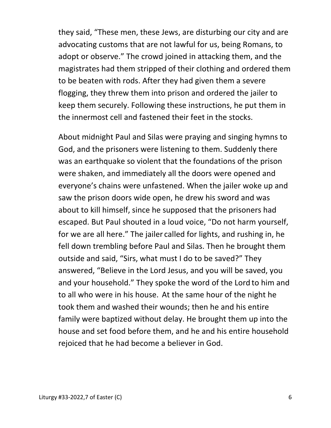they said, "These men, these Jews, are disturbing our city and are advocating customs that are not lawful for us, being Romans, to adopt or observe." The crowd joined in attacking them, and the magistrates had them stripped of their clothing and ordered them to be beaten with rods. After they had given them a severe flogging, they threw them into prison and ordered the jailer to keep them securely. Following these instructions, he put them in the innermost cell and fastened their feet in the stocks.

About midnight Paul and Silas were praying and singing hymns to God, and the prisoners were listening to them. Suddenly there was an earthquake so violent that the foundations of the prison were shaken, and immediately all the doors were opened and everyone's chains were unfastened. When the jailer woke up and saw the prison doors wide open, he drew his sword and was about to kill himself, since he supposed that the prisoners had escaped. But Paul shouted in a loud voice, "Do not harm yourself, for we are all here." The jailer called for lights, and rushing in, he fell down trembling before Paul and Silas. Then he brought them outside and said, "Sirs, what must I do to be saved?" They answered, "Believe in the Lord Jesus, and you will be saved, you and your household." They spoke the word of the Lord to him and to all who were in his house. At the same hour of the night he took them and washed their wounds; then he and his entire family were baptized without delay. He brought them up into the house and set food before them, and he and his entire household rejoiced that he had become a believer in God.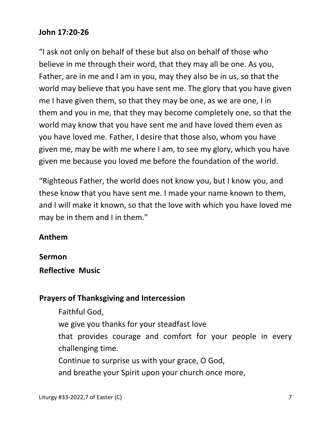## **John 17:20-26**

"I ask not only on behalf of these but also on behalf of those who believe in me through their word, that they may all be one. As you, Father, are in me and I am in you, may they also be in us, so that the world may believe that you have sent me. The glory that you have given me I have given them, so that they may be one, as we are one, I in them and you in me, that they may become completely one, so that the world may know that you have sent me and have loved them even as you have loved me. Father, I desire that those also, whom you have given me, may be with me where I am, to see my glory, which you have given me because you loved me before the foundation of the world.

"Righteous Father, the world does not know you, but I know you, and these know that you have sent me. I made your name known to them, and I will make it known, so that the love with which you have loved me may be in them and I in them."

## **Anthem**

**Sermon** 

**Reflective Music**

## **Prayers of Thanksgiving and Intercession**

Faithful God,

we give you thanks for your steadfast love

 that provides courage and comfort for your people in every challenging time.

Continue to surprise us with your grace, O God,

and breathe your Spirit upon your church once more,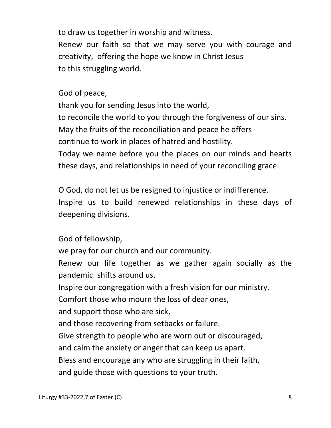to draw us together in worship and witness. Renew our faith so that we may serve you with courage and creativity, offering the hope we know in Christ Jesus to this struggling world.

God of peace,

 thank you for sending Jesus into the world, to reconcile the world to you through the forgiveness of our sins. May the fruits of the reconciliation and peace he offers continue to work in places of hatred and hostility. Today we name before you the places on our minds and hearts these days, and relationships in need of your reconciling grace:

 O God, do not let us be resigned to injustice or indifference. Inspire us to build renewed relationships in these days of deepening divisions.

God of fellowship,

we pray for our church and our community.

Renew our life together as we gather again socially as the pandemic shifts around us.

Inspire our congregation with a fresh vision for our ministry.

Comfort those who mourn the loss of dear ones,

and support those who are sick,

and those recovering from setbacks or failure.

Give strength to people who are worn out or discouraged,

and calm the anxiety or anger that can keep us apart.

Bless and encourage any who are struggling in their faith,

and guide those with questions to your truth.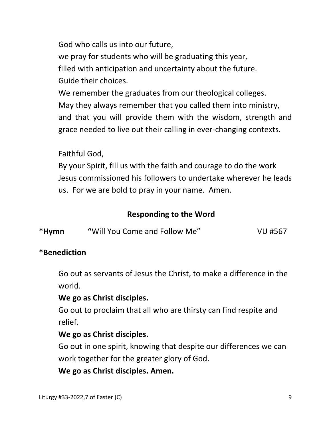God who calls us into our future, we pray for students who will be graduating this year, filled with anticipation and uncertainty about the future. Guide their choices.

 We remember the graduates from our theological colleges. May they always remember that you called them into ministry, and that you will provide them with the wisdom, strength and grace needed to live out their calling in ever-changing contexts.

Faithful God,

 By your Spirit, fill us with the faith and courage to do the work Jesus commissioned his followers to undertake wherever he leads us. For we are bold to pray in your name. Amen.

# **Responding to the Word**

| *Hymn<br>"Will You Come and Follow Me"<br>VU #567 |  |
|---------------------------------------------------|--|
|---------------------------------------------------|--|

## **\*Benediction**

 Go out as servants of Jesus the Christ, to make a difference in the world.

# **We go as Christ disciples.**

 Go out to proclaim that all who are thirsty can find respite and relief.

## **We go as Christ disciples.**

 Go out in one spirit, knowing that despite our differences we can work together for the greater glory of God.

**We go as Christ disciples. Amen.**